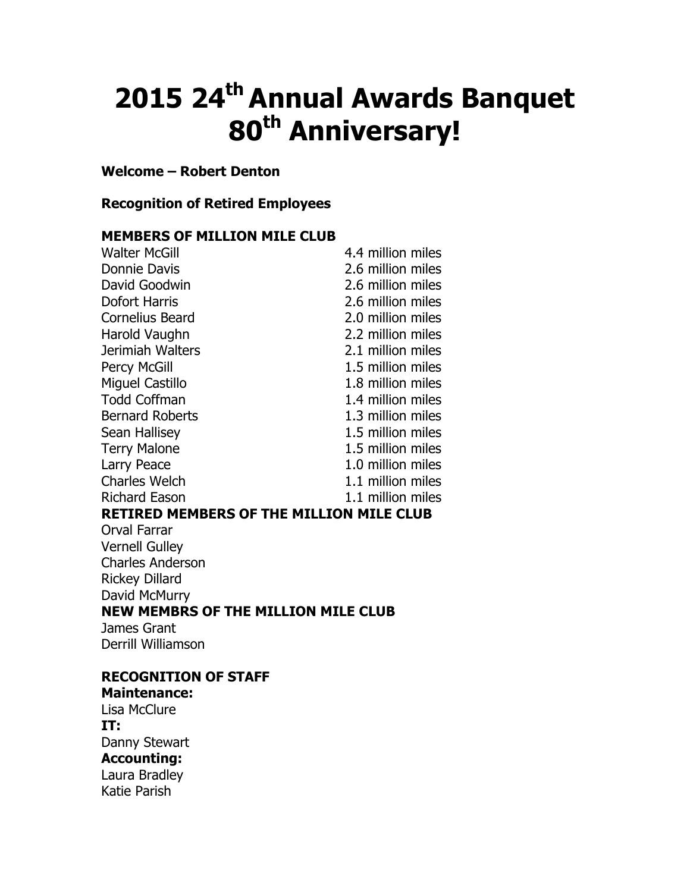# 2015 24<sup>th</sup> Annual Awards Banquet 80<sup>th</sup> Anniversary!

## Welcome – Robert Denton

## Recognition of Retired Employees

#### MEMBERS OF MILLION MILE CLUB

| <b>Walter McGill</b>                            | 4.4 million miles |
|-------------------------------------------------|-------------------|
| <b>Donnie Davis</b>                             | 2.6 million miles |
| David Goodwin                                   | 2.6 million miles |
| <b>Dofort Harris</b>                            | 2.6 million miles |
| <b>Cornelius Beard</b>                          | 2.0 million miles |
| Harold Vaughn                                   | 2.2 million miles |
| Jerimiah Walters                                | 2.1 million miles |
| <b>Percy McGill</b>                             | 1.5 million miles |
| <b>Miguel Castillo</b>                          | 1.8 million miles |
| <b>Todd Coffman</b>                             | 1.4 million miles |
| <b>Bernard Roberts</b>                          | 1.3 million miles |
| Sean Hallisey                                   | 1.5 million miles |
| <b>Terry Malone</b>                             | 1.5 million miles |
| Larry Peace                                     | 1.0 million miles |
| <b>Charles Welch</b>                            | 1.1 million miles |
| <b>Richard Eason</b>                            | 1.1 million miles |
| <b>RETIRED MEMBERS OF THE MILLION MILE CLUB</b> |                   |
| Orval Farrar                                    |                   |
| <b>Vernell Gulley</b>                           |                   |
| <b>Charles Anderson</b>                         |                   |
| <b>Rickey Dillard</b>                           |                   |
| David McMurry                                   |                   |
| <b>NEW MEMBRS OF THE MILLION MILE CLUB</b>      |                   |
| James Grant                                     |                   |
| <b>Derrill Williamson</b>                       |                   |
| <b>RECOGNITION OF STAFF</b>                     |                   |
| <b>Maintenance:</b>                             |                   |

Lisa McClure IT: Danny Stewart

Accounting: Laura Bradley Katie Parish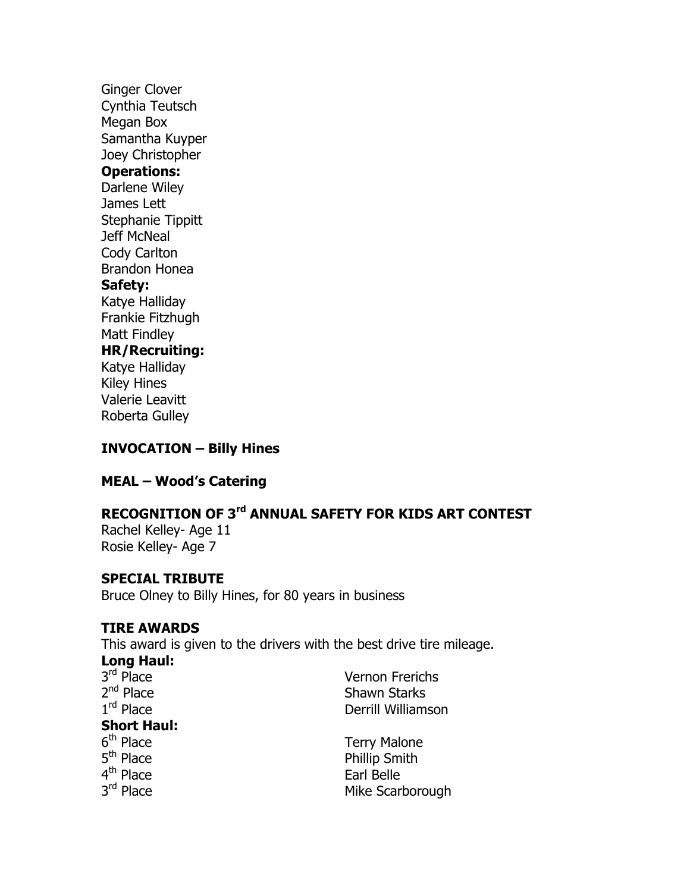Ginger Clover Cynthia Teutsch Megan Box Samantha Kuyper Joey Christopher Operations: Darlene Wiley James Lett Stephanie Tippitt Jeff McNeal Cody Carlton Brandon Honea Safety: Katye Halliday Frankie Fitzhugh Matt Findley HR/Recruiting: Katye Halliday Kiley Hines Valerie Leavitt Roberta Gulley

#### INVOCATION – Billy Hines

# MEAL – Wood's Catering

## RECOGNITION OF 3<sup>rd</sup> ANNUAL SAFETY FOR KIDS ART CONTEST

Rachel Kelley- Age 11 Rosie Kelley- Age 7

#### SPECIAL TRIBUTE

Bruce Olney to Billy Hines, for 80 years in business

#### TIRE AWARDS

This award is given to the drivers with the best drive tire mileage.

Long Haul:  $3<sup>rd</sup>$  Place Vernon Frerichs  $2<sup>nd</sup>$  Place Shawn Starks  $1<sup>rd</sup>$  Place Derrill Williamson Short Haul: 6<sup>th</sup> Place Terry Malone 5<sup>th</sup> Place Phillip Smith 4<sup>th</sup> Place Earl Belle 3rd Place Mike Scarborough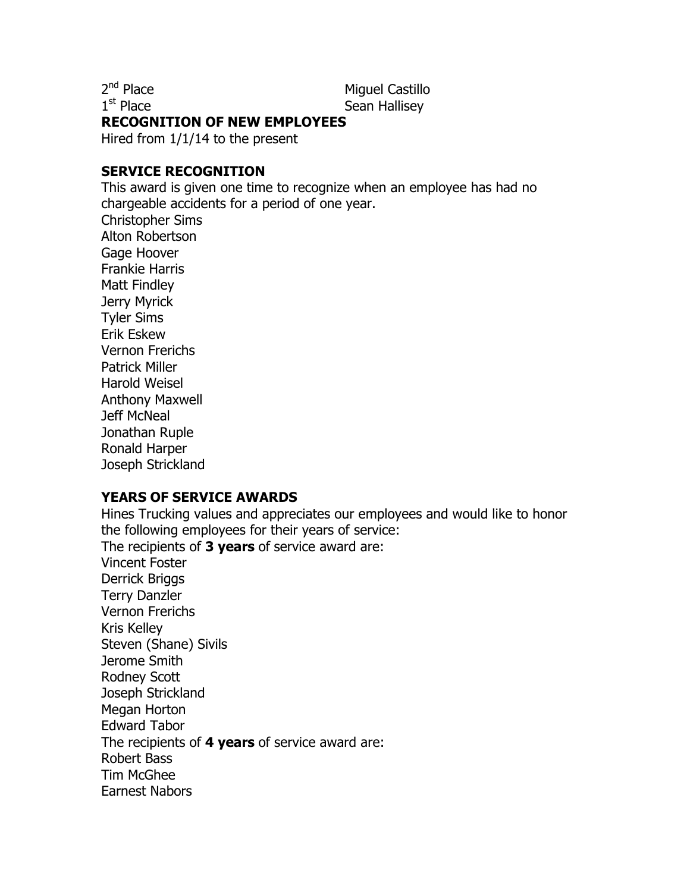$2<sup>nd</sup>$  Place

 $1<sup>st</sup>$  Place

Miguel Castillo Sean Hallisev

#### RECOGNITION OF NEW EMPLOYEES

Hired from 1/1/14 to the present

#### SERVICE RECOGNITION

This award is given one time to recognize when an employee has had no chargeable accidents for a period of one year. Christopher Sims Alton Robertson Gage Hoover Frankie Harris Matt Findley Jerry Myrick Tyler Sims Erik Eskew Vernon Frerichs Patrick Miller Harold Weisel Anthony Maxwell Jeff McNeal Jonathan Ruple Ronald Harper Joseph Strickland

## YEARS OF SERVICE AWARDS

Hines Trucking values and appreciates our employees and would like to honor the following employees for their years of service: The recipients of 3 years of service award are: Vincent Foster Derrick Briggs Terry Danzler Vernon Frerichs Kris Kelley Steven (Shane) Sivils Jerome Smith Rodney Scott Joseph Strickland Megan Horton Edward Tabor The recipients of 4 years of service award are: Robert Bass Tim McGhee Earnest Nabors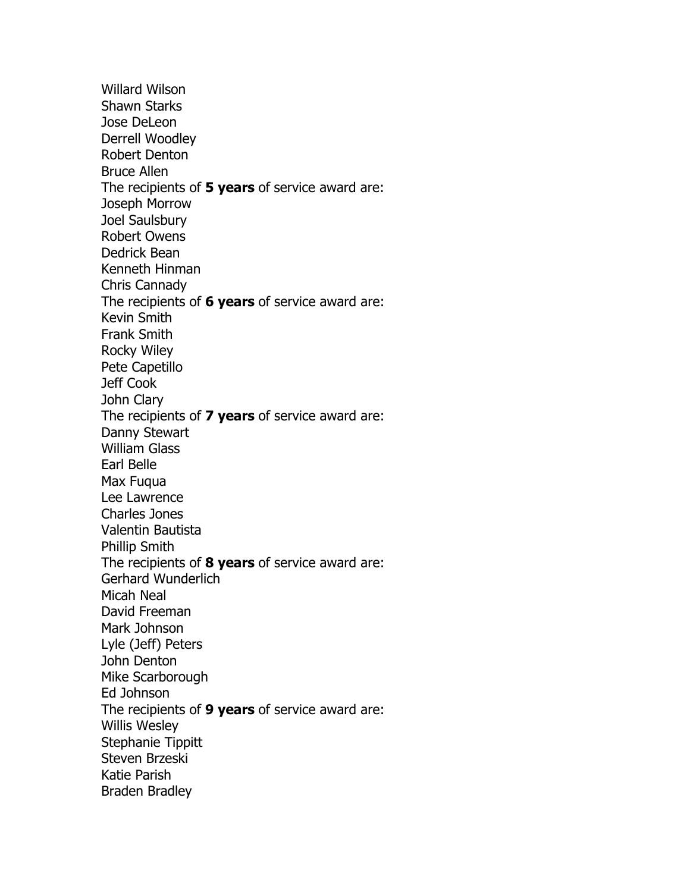Willard Wilson Shawn Starks Jose DeLeon Derrell Woodley Robert Denton Bruce Allen The recipients of 5 years of service award are: Joseph Morrow Joel Saulsbury Robert Owens Dedrick Bean Kenneth Hinman Chris Cannady The recipients of 6 years of service award are: Kevin Smith Frank Smith Rocky Wiley Pete Capetillo Jeff Cook John Clary The recipients of 7 years of service award are: Danny Stewart William Glass Earl Belle Max Fuqua Lee Lawrence Charles Jones Valentin Bautista Phillip Smith The recipients of 8 years of service award are: Gerhard Wunderlich Micah Neal David Freeman Mark Johnson Lyle (Jeff) Peters John Denton Mike Scarborough Ed Johnson The recipients of 9 years of service award are: Willis Wesley Stephanie Tippitt Steven Brzeski Katie Parish Braden Bradley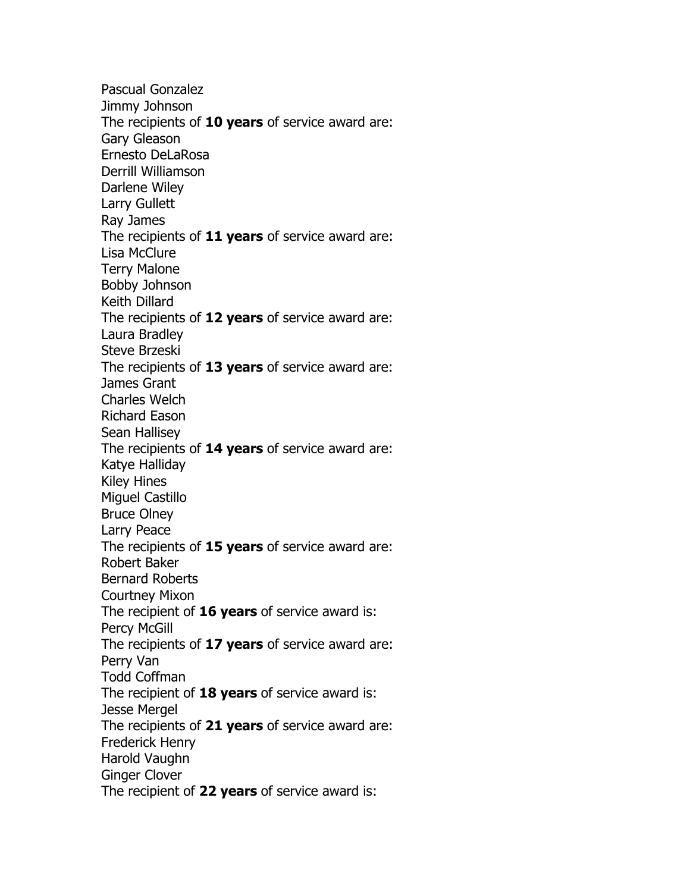Pascual Gonzalez Jimmy Johnson The recipients of 10 years of service award are: Gary Gleason Ernesto DeLaRosa Derrill Williamson Darlene Wiley Larry Gullett Ray James The recipients of 11 years of service award are: Lisa McClure Terry Malone Bobby Johnson Keith Dillard The recipients of 12 years of service award are: Laura Bradley Steve Brzeski The recipients of 13 years of service award are: James Grant Charles Welch Richard Eason Sean Hallisey The recipients of 14 years of service award are: Katye Halliday Kiley Hines Miguel Castillo Bruce Olney Larry Peace The recipients of 15 years of service award are: Robert Baker Bernard Roberts Courtney Mixon The recipient of  $16$  years of service award is: Percy McGill The recipients of 17 years of service award are: Perry Van Todd Coffman The recipient of  $18$  years of service award is: Jesse Mergel The recipients of 21 years of service award are: Frederick Henry Harold Vaughn Ginger Clover The recipient of 22 years of service award is: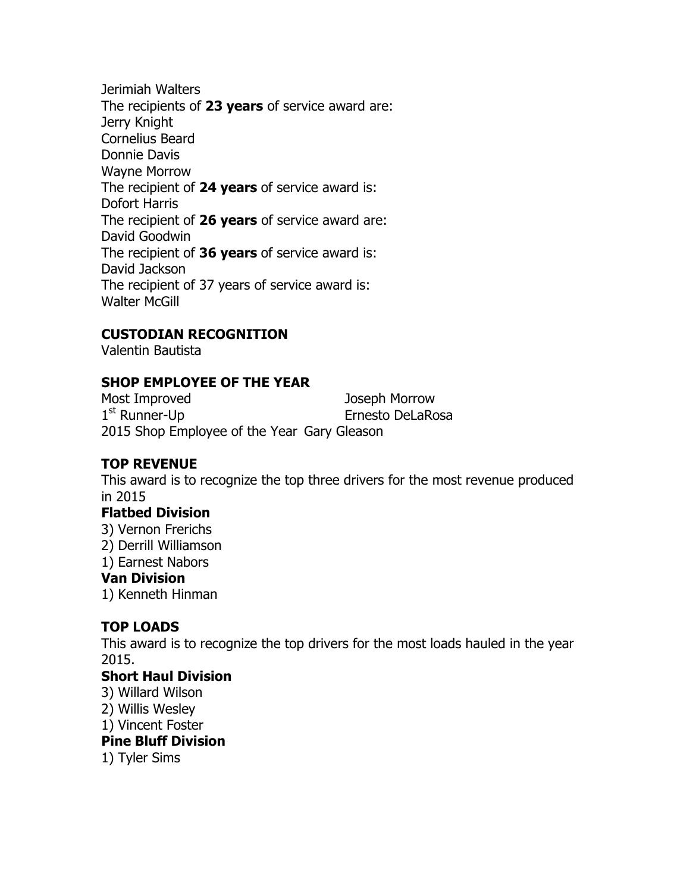Jerimiah Walters The recipients of 23 years of service award are: Jerry Knight Cornelius Beard Donnie Davis Wayne Morrow The recipient of 24 years of service award is: Dofort Harris The recipient of 26 years of service award are: David Goodwin The recipient of 36 years of service award is: David Jackson The recipient of 37 years of service award is: Walter McGill

# CUSTODIAN RECOGNITION

Valentin Bautista

# SHOP EMPLOYEE OF THE YEAR

Most Improved Joseph Morrow  $1<sup>st</sup>$  Runner-Up Ernesto DeLaRosa 2015 Shop Employee of the Year Gary Gleason

## TOP REVENUE

This award is to recognize the top three drivers for the most revenue produced in 2015

## Flatbed Division

- 3) Vernon Frerichs
- 2) Derrill Williamson
- 1) Earnest Nabors

#### Van Division

1) Kenneth Hinman

# TOP LOADS

This award is to recognize the top drivers for the most loads hauled in the year 2015.

## Short Haul Division

- 3) Willard Wilson
- 2) Willis Wesley
- 1) Vincent Foster

#### Pine Bluff Division

1) Tyler Sims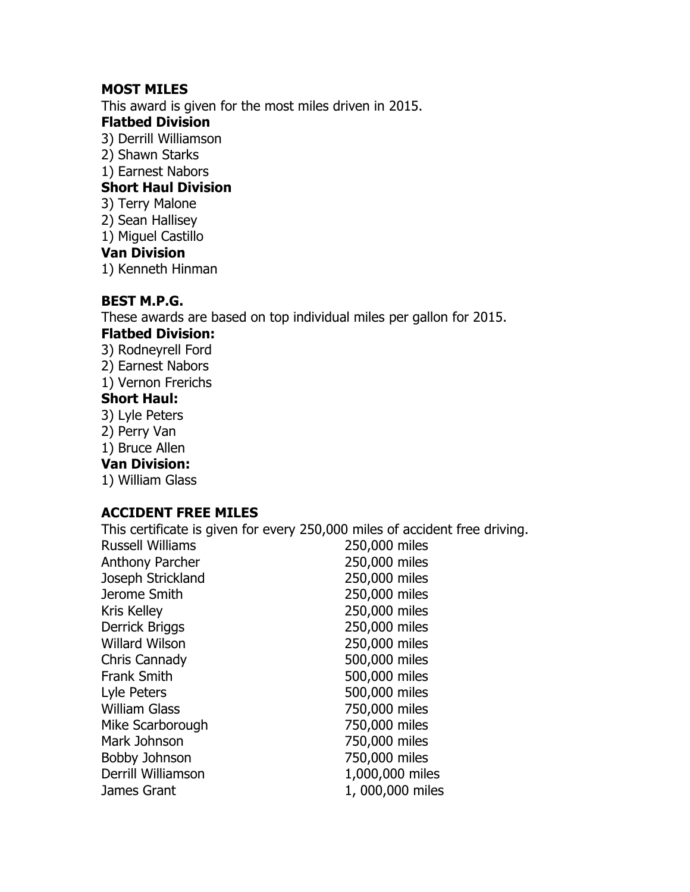## MOST MILES

This award is given for the most miles driven in 2015.

#### Flatbed Division

- 3) Derrill Williamson
- 2) Shawn Starks
- 1) Earnest Nabors

## Short Haul Division

- 3) Terry Malone
- 2) Sean Hallisey
- 1) Miguel Castillo

## Van Division

1) Kenneth Hinman

## BEST M.P.G.

These awards are based on top individual miles per gallon for 2015.

## Flatbed Division:

- 3) Rodneyrell Ford
- 2) Earnest Nabors
- 1) Vernon Frerichs

## Short Haul:

- 3) Lyle Peters
- 2) Perry Van
- 1) Bruce Allen

#### Van Division:

1) William Glass

# ACCIDENT FREE MILES

This certificate is given for every 250,000 miles of accident free driving.

| <b>Russell Williams</b> | 250,000 miles   |
|-------------------------|-----------------|
| <b>Anthony Parcher</b>  | 250,000 miles   |
| Joseph Strickland       | 250,000 miles   |
| Jerome Smith            | 250,000 miles   |
| <b>Kris Kelley</b>      | 250,000 miles   |
| Derrick Briggs          | 250,000 miles   |
| <b>Willard Wilson</b>   | 250,000 miles   |
| Chris Cannady           | 500,000 miles   |
| <b>Frank Smith</b>      | 500,000 miles   |
| Lyle Peters             | 500,000 miles   |
| <b>William Glass</b>    | 750,000 miles   |
| Mike Scarborough        | 750,000 miles   |
| Mark Johnson            | 750,000 miles   |
| <b>Bobby Johnson</b>    | 750,000 miles   |
| Derrill Williamson      | 1,000,000 miles |
| James Grant             | 1,000,000 miles |